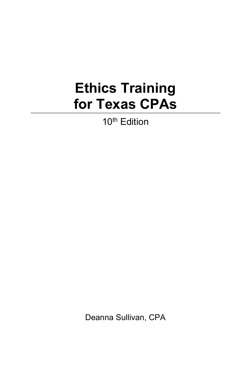## **Ethics Training for Texas CPAs**

10<sup>th</sup> Edition

Deanna Sullivan, CPA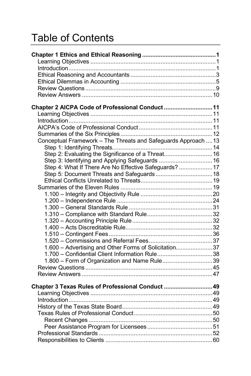## Table of Contents

| Chapter 2 AICPA Code of Professional Conduct  11               |  |
|----------------------------------------------------------------|--|
|                                                                |  |
|                                                                |  |
|                                                                |  |
|                                                                |  |
| Conceptual Framework - The Threats and Safeguards Approach  13 |  |
|                                                                |  |
| Step 2: Evaluating the Significance of a Threat 16             |  |
| Step 3: Identifying and Applying Safeguards  16                |  |
| Step 4: What If There Are No Effective Safeguards?  17         |  |
| Step 5: Document Threats and Safeguards 18                     |  |
|                                                                |  |
|                                                                |  |
|                                                                |  |
|                                                                |  |
|                                                                |  |
|                                                                |  |
|                                                                |  |
|                                                                |  |
|                                                                |  |
|                                                                |  |
| 1.600 - Advertising and Other Forms of Solicitation37          |  |
| 1.700 - Confidential Client Information Rule38                 |  |
| 1.800 - Form of Organization and Name Rule39                   |  |
|                                                                |  |
|                                                                |  |
| Chapter 3 Texas Rules of Professional Conduct  49              |  |
|                                                                |  |
|                                                                |  |
|                                                                |  |
|                                                                |  |
|                                                                |  |
|                                                                |  |
|                                                                |  |
|                                                                |  |